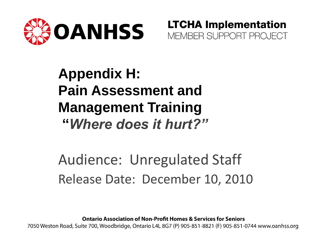



**Appendix H: Pain Assessment and Management Training "***Where does it hurt?"*

Audience: Unregulated Staff Release Date: December 10, 2010

**Ontario Association of Non-Profit Homes & Services for Seniors** 

7050 Weston Road, Suite 700, Woodbridge, Ontario L4L 8G7 (P) 905-851-8821 (F) 905-851-0744 www.oanhss.org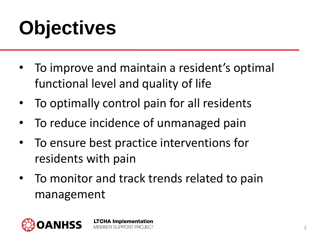# **Objectives**

- To improve and maintain a resident's optimal functional level and quality of life
- To optimally control pain for all residents
- To reduce incidence of unmanaged pain
- To ensure best practice interventions for residents with pain

**LTCHA Implementation** MEMBER SUPPORT PROJECT

• To monitor and track trends related to pain management

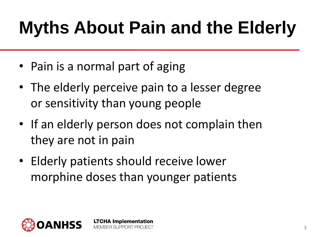# **Myths About Pain and the Elderly**

- Pain is a normal part of aging
- The elderly perceive pain to a lesser degree or sensitivity than young people
- If an elderly person does not complain then they are not in pain
- Elderly patients should receive lower morphine doses than younger patients

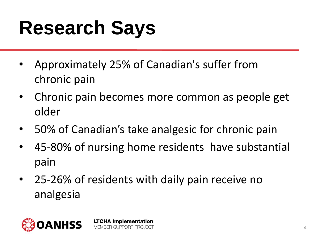# **Research Says**

- Approximately 25% of Canadian's suffer from chronic pain
- Chronic pain becomes more common as people get older
- 50% of Canadian's take analgesic for chronic pain
- 45-80% of nursing home residents have substantial pain
- 25-26% of residents with daily pain receive no analgesia

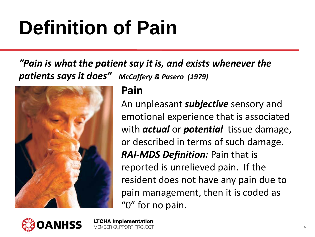# **Definition of Pain**

*"Pain is what the patient say it is, and exists whenever the patients says it does"**McCaffery & Pasero (1979)*



#### **Pain**

An unpleasant *subjective* sensory and emotional experience that is associated with *actual* or *potential* tissue damage, or described in terms of such damage. *RAI-MDS Definition:* Pain that is reported is unrelieved pain. If the resident does not have any pain due to pain management, then it is coded as "0" for no pain.

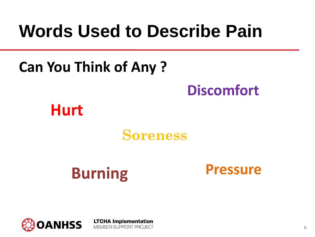## **Words Used to Describe Pain**

#### **Can You Think of Any ?**

#### **Discomfort**

#### **Hurt**

#### **Soreness**

### **Burning Pressure**

**LTCHA Implementation** 

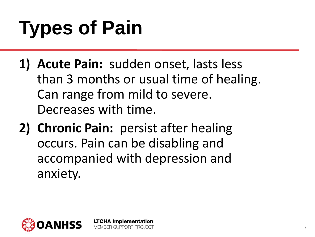# **Types of Pain**

- **1) Acute Pain:** sudden onset, lasts less than 3 months or usual time of healing. Can range from mild to severe. Decreases with time.
- **2) Chronic Pain:** persist after healing occurs. Pain can be disabling and accompanied with depression and anxiety.

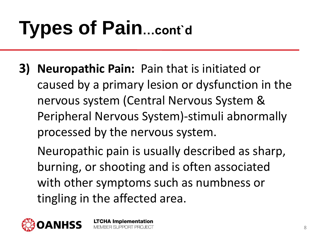# **Types of Pain…cont`d**

**3) Neuropathic Pain:** Pain that is initiated or caused by a primary lesion or dysfunction in the nervous system (Central Nervous System & Peripheral Nervous System)-stimuli abnormally processed by the nervous system.

Neuropathic pain is usually described as sharp, burning, or shooting and is often associated with other symptoms such as numbness or tingling in the affected area.

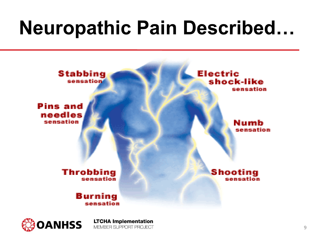# **Neuropathic Pain Described…**



**LTCHA Implementation** 

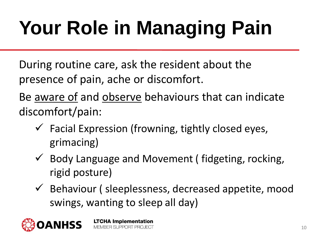# **Your Role in Managing Pain**

During routine care, ask the resident about the presence of pain, ache or discomfort.

Be aware of and observe behaviours that can indicate discomfort/pain:

- $\checkmark$  Facial Expression (frowning, tightly closed eyes, grimacing)
- $\checkmark$  Body Language and Movement (fidgeting, rocking, rigid posture)
- $\checkmark$  Behaviour ( sleeplessness, decreased appetite, mood swings, wanting to sleep all day)

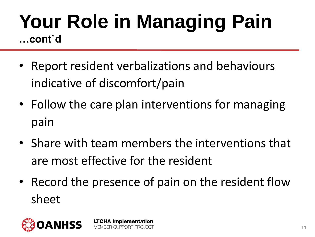#### **Your Role in Managing Pain …cont`d**

- Report resident verbalizations and behaviours indicative of discomfort/pain
- Follow the care plan interventions for managing pain
- Share with team members the interventions that are most effective for the resident
- Record the presence of pain on the resident flow sheet

**LTCHA Implementation** 

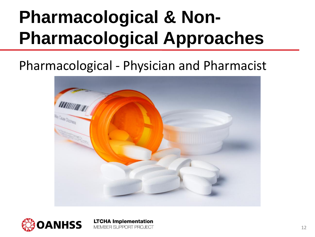# **Pharmacological & Non-Pharmacological Approaches**

#### Pharmacological - Physician and Pharmacist



**LTCHA Implementation** 

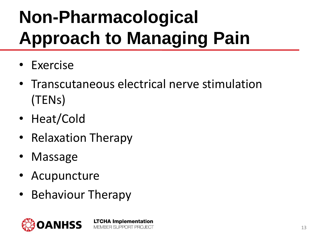# **Non-Pharmacological Approach to Managing Pain**

- Exercise
- Transcutaneous electrical nerve stimulation (TENs)
- Heat/Cold
- Relaxation Therapy
- Massage
- Acupuncture
- Behaviour Therapy

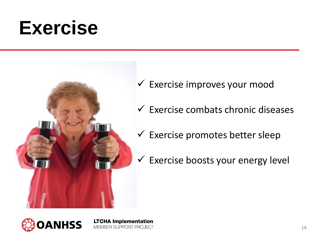## **Exercise**



**LTCHA Implementation** 

- Exercise improves your mood
- $\checkmark$  Exercise combats chronic diseases
- $\checkmark$  Exercise promotes better sleep
- $\checkmark$  Exercise boosts your energy level

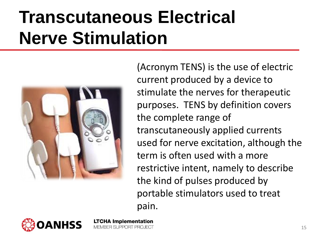## **Transcutaneous Electrical Nerve Stimulation**



(Acronym TENS) is the use of electric current produced by a device to stimulate the nerves for therapeutic purposes. TENS by definition covers the complete range of transcutaneously applied currents used for nerve excitation, although the term is often used with a more restrictive intent, namely to describe the kind of pulses produced by portable stimulators used to treat pain.

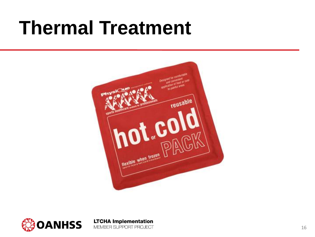## **Thermal Treatment**



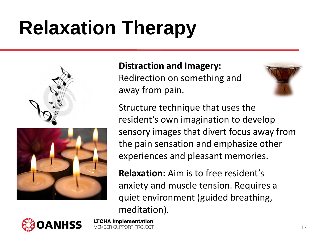# **Relaxation Therapy**





**Distraction and Imagery:** Redirection on something and away from pain.



Structure technique that uses the resident's own imagination to develop sensory images that divert focus away from the pain sensation and emphasize other experiences and pleasant memories.

**Relaxation:** Aim is to free resident's anxiety and muscle tension. Requires a quiet environment (guided breathing, meditation).